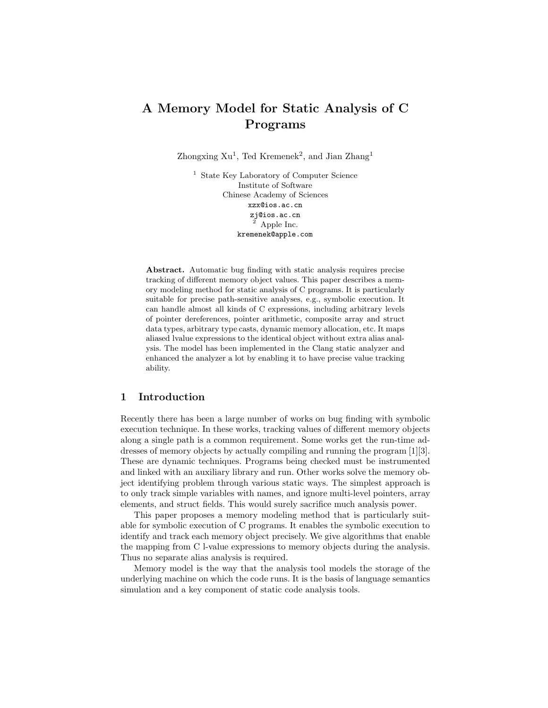# A Memory Model for Static Analysis of C Programs

Zhongxing  $Xu^1$ , Ted Kremenek<sup>2</sup>, and Jian Zhang<sup>1</sup>

<sup>1</sup> State Key Laboratory of Computer Science Institute of Software Chinese Academy of Sciences xzx@ios.ac.cn zj@ios.ac.cn <sup>2</sup> Apple Inc. kremenek@apple.com

Abstract. Automatic bug finding with static analysis requires precise tracking of different memory object values. This paper describes a memory modeling method for static analysis of C programs. It is particularly suitable for precise path-sensitive analyses, e.g., symbolic execution. It can handle almost all kinds of C expressions, including arbitrary levels of pointer dereferences, pointer arithmetic, composite array and struct data types, arbitrary type casts, dynamic memory allocation, etc. It maps aliased lvalue expressions to the identical object without extra alias analysis. The model has been implemented in the Clang static analyzer and enhanced the analyzer a lot by enabling it to have precise value tracking ability.

# 1 Introduction

Recently there has been a large number of works on bug finding with symbolic execution technique. In these works, tracking values of different memory objects along a single path is a common requirement. Some works get the run-time addresses of memory objects by actually compiling and running the program [1][3]. These are dynamic techniques. Programs being checked must be instrumented and linked with an auxiliary library and run. Other works solve the memory object identifying problem through various static ways. The simplest approach is to only track simple variables with names, and ignore multi-level pointers, array elements, and struct fields. This would surely sacrifice much analysis power.

This paper proposes a memory modeling method that is particularly suitable for symbolic execution of C programs. It enables the symbolic execution to identify and track each memory object precisely. We give algorithms that enable the mapping from C l-value expressions to memory objects during the analysis. Thus no separate alias analysis is required.

Memory model is the way that the analysis tool models the storage of the underlying machine on which the code runs. It is the basis of language semantics simulation and a key component of static code analysis tools.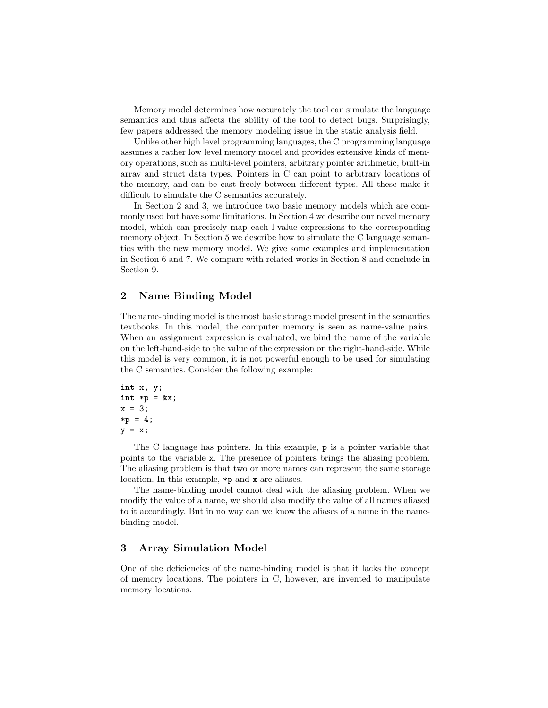Memory model determines how accurately the tool can simulate the language semantics and thus affects the ability of the tool to detect bugs. Surprisingly, few papers addressed the memory modeling issue in the static analysis field.

Unlike other high level programming languages, the C programming language assumes a rather low level memory model and provides extensive kinds of memory operations, such as multi-level pointers, arbitrary pointer arithmetic, built-in array and struct data types. Pointers in C can point to arbitrary locations of the memory, and can be cast freely between different types. All these make it difficult to simulate the C semantics accurately.

In Section 2 and 3, we introduce two basic memory models which are commonly used but have some limitations. In Section 4 we describe our novel memory model, which can precisely map each l-value expressions to the corresponding memory object. In Section 5 we describe how to simulate the C language semantics with the new memory model. We give some examples and implementation in Section 6 and 7. We compare with related works in Section 8 and conclude in Section 9.

## 2 Name Binding Model

The name-binding model is the most basic storage model present in the semantics textbooks. In this model, the computer memory is seen as name-value pairs. When an assignment expression is evaluated, we bind the name of the variable on the left-hand-side to the value of the expression on the right-hand-side. While this model is very common, it is not powerful enough to be used for simulating the C semantics. Consider the following example:

```
int x, y;
int *p = kx;x = 3;*p = 4;y = x;
```
The C language has pointers. In this example, p is a pointer variable that points to the variable x. The presence of pointers brings the aliasing problem. The aliasing problem is that two or more names can represent the same storage location. In this example, \*p and x are aliases.

The name-binding model cannot deal with the aliasing problem. When we modify the value of a name, we should also modify the value of all names aliased to it accordingly. But in no way can we know the aliases of a name in the namebinding model.

## 3 Array Simulation Model

One of the deficiencies of the name-binding model is that it lacks the concept of memory locations. The pointers in C, however, are invented to manipulate memory locations.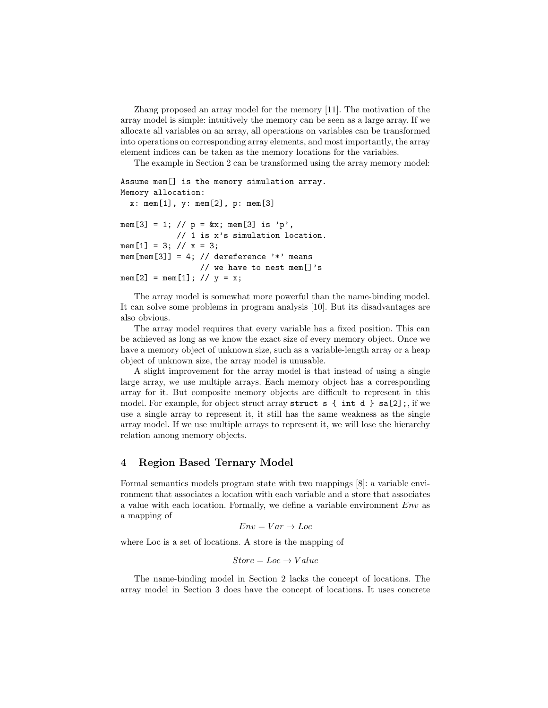Zhang proposed an array model for the memory [11]. The motivation of the array model is simple: intuitively the memory can be seen as a large array. If we allocate all variables on an array, all operations on variables can be transformed into operations on corresponding array elements, and most importantly, the array element indices can be taken as the memory locations for the variables.

The example in Section 2 can be transformed using the array memory model:

```
Assume mem[] is the memory simulation array.
Memory allocation:
 x: mem[1], y: mem[2], p: mem[3]
mem[3] = 1; // p = kx; mem[3] is 'p',
            // 1 is x's simulation location.
mem[1] = 3; // x = 3;mem[mem[3]] = 4; // dereference '*' means
                 // we have to nest mem[]'s
menn[2] = mem[1]; // y = x;
```
The array model is somewhat more powerful than the name-binding model. It can solve some problems in program analysis [10]. But its disadvantages are also obvious.

The array model requires that every variable has a fixed position. This can be achieved as long as we know the exact size of every memory object. Once we have a memory object of unknown size, such as a variable-length array or a heap object of unknown size, the array model is unusable.

A slight improvement for the array model is that instead of using a single large array, we use multiple arrays. Each memory object has a corresponding array for it. But composite memory objects are difficult to represent in this model. For example, for object struct array struct s { int d } sa[2];, if we use a single array to represent it, it still has the same weakness as the single array model. If we use multiple arrays to represent it, we will lose the hierarchy relation among memory objects.

# 4 Region Based Ternary Model

Formal semantics models program state with two mappings [8]: a variable environment that associates a location with each variable and a store that associates a value with each location. Formally, we define a variable environment Env as a mapping of

$$
Env = Var \rightarrow Loc
$$

where Loc is a set of locations. A store is the mapping of

$$
Store = Loc \rightarrow Value
$$

The name-binding model in Section 2 lacks the concept of locations. The array model in Section 3 does have the concept of locations. It uses concrete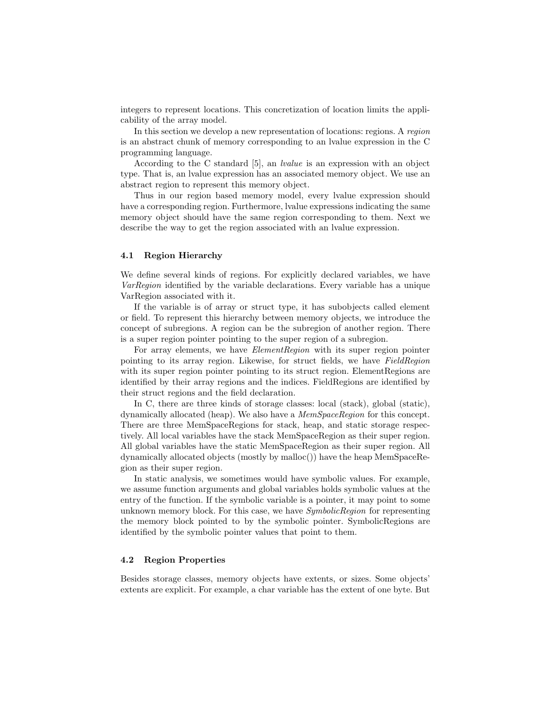integers to represent locations. This concretization of location limits the applicability of the array model.

In this section we develop a new representation of locations: regions. A region is an abstract chunk of memory corresponding to an lvalue expression in the C programming language.

According to the C standard [5], an lvalue is an expression with an object type. That is, an lvalue expression has an associated memory object. We use an abstract region to represent this memory object.

Thus in our region based memory model, every lvalue expression should have a corresponding region. Furthermore, lvalue expressions indicating the same memory object should have the same region corresponding to them. Next we describe the way to get the region associated with an lvalue expression.

#### 4.1 Region Hierarchy

We define several kinds of regions. For explicitly declared variables, we have VarRegion identified by the variable declarations. Every variable has a unique VarRegion associated with it.

If the variable is of array or struct type, it has subobjects called element or field. To represent this hierarchy between memory objects, we introduce the concept of subregions. A region can be the subregion of another region. There is a super region pointer pointing to the super region of a subregion.

For array elements, we have ElementRegion with its super region pointer pointing to its array region. Likewise, for struct fields, we have FieldRegion with its super region pointer pointing to its struct region. ElementRegions are identified by their array regions and the indices. FieldRegions are identified by their struct regions and the field declaration.

In C, there are three kinds of storage classes: local (stack), global (static), dynamically allocated (heap). We also have a *MemSpaceRegion* for this concept. There are three MemSpaceRegions for stack, heap, and static storage respectively. All local variables have the stack MemSpaceRegion as their super region. All global variables have the static MemSpaceRegion as their super region. All dynamically allocated objects (mostly by malloc()) have the heap MemSpaceRegion as their super region.

In static analysis, we sometimes would have symbolic values. For example, we assume function arguments and global variables holds symbolic values at the entry of the function. If the symbolic variable is a pointer, it may point to some unknown memory block. For this case, we have *SymbolicRegion* for representing the memory block pointed to by the symbolic pointer. SymbolicRegions are identified by the symbolic pointer values that point to them.

#### 4.2 Region Properties

Besides storage classes, memory objects have extents, or sizes. Some objects' extents are explicit. For example, a char variable has the extent of one byte. But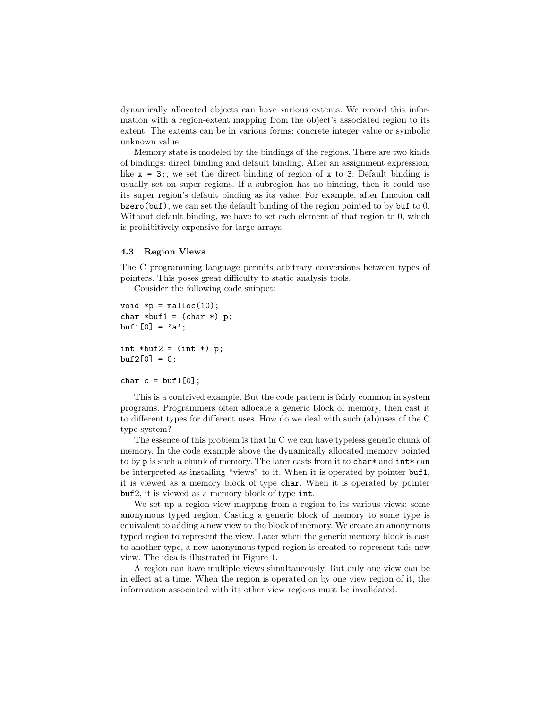dynamically allocated objects can have various extents. We record this information with a region-extent mapping from the object's associated region to its extent. The extents can be in various forms: concrete integer value or symbolic unknown value.

Memory state is modeled by the bindings of the regions. There are two kinds of bindings: direct binding and default binding. After an assignment expression, like  $x = 3$ ;, we set the direct binding of region of x to 3. Default binding is usually set on super regions. If a subregion has no binding, then it could use its super region's default binding as its value. For example, after function call bzero(buf), we can set the default binding of the region pointed to by buf to 0. Without default binding, we have to set each element of that region to 0, which is prohibitively expensive for large arrays.

#### 4.3 Region Views

The C programming language permits arbitrary conversions between types of pointers. This poses great difficulty to static analysis tools.

Consider the following code snippet:

```
void *p = malloc(10);char *buf1 = (char *) p;
buf1[0] = 'a;
int *buf2 = (int *) p;buf2[0] = 0;
```

```
char c = \text{buf1}[0];
```
This is a contrived example. But the code pattern is fairly common in system programs. Programmers often allocate a generic block of memory, then cast it to different types for different uses. How do we deal with such (ab)uses of the C type system?

The essence of this problem is that in C we can have typeless generic chunk of memory. In the code example above the dynamically allocated memory pointed to by p is such a chunk of memory. The later casts from it to char\* and int\* can be interpreted as installing "views" to it. When it is operated by pointer buf1, it is viewed as a memory block of type char. When it is operated by pointer buf2, it is viewed as a memory block of type int.

We set up a region view mapping from a region to its various views: some anonymous typed region. Casting a generic block of memory to some type is equivalent to adding a new view to the block of memory. We create an anonymous typed region to represent the view. Later when the generic memory block is cast to another type, a new anonymous typed region is created to represent this new view. The idea is illustrated in Figure 1.

A region can have multiple views simultaneously. But only one view can be in effect at a time. When the region is operated on by one view region of it, the information associated with its other view regions must be invalidated.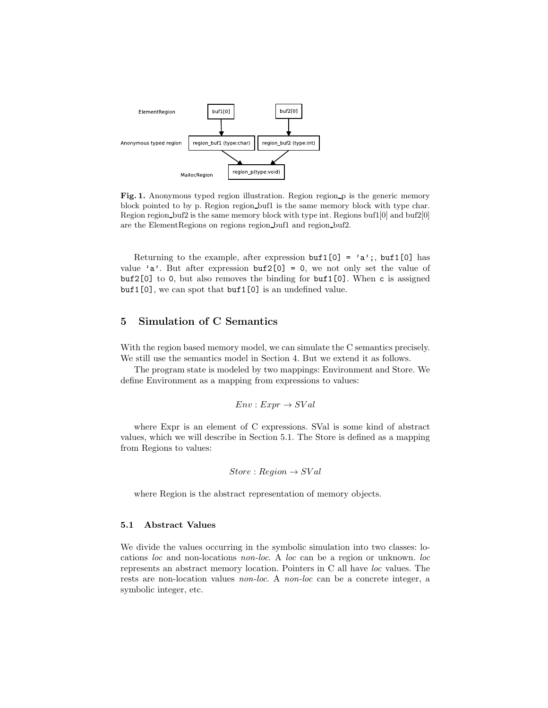

Fig. 1. Anonymous typed region illustration. Region region p is the generic memory block pointed to by p. Region region buf1 is the same memory block with type char. Region region buf2 is the same memory block with type int. Regions buf1[0] and buf2[0] are the ElementRegions on regions region buf1 and region buf2.

Returning to the example, after expression buf1[0] = 'a';, buf1[0] has value 'a'. But after expression  $\text{buf2}[0] = 0$ , we not only set the value of buf2[0] to 0, but also removes the binding for buf1[0]. When c is assigned buf1[0], we can spot that buf1[0] is an undefined value.

# 5 Simulation of C Semantics

With the region based memory model, we can simulate the C semantics precisely. We still use the semantics model in Section 4. But we extend it as follows.

The program state is modeled by two mappings: Environment and Store. We define Environment as a mapping from expressions to values:

$$
\mathit{Env} : \mathit{Expr} \rightarrow \mathit{SVal}
$$

where Expr is an element of C expressions. SVal is some kind of abstract values, which we will describe in Section 5.1. The Store is defined as a mapping from Regions to values:

$$
Store: Region \rightarrow SVal
$$

where Region is the abstract representation of memory objects.

#### 5.1 Abstract Values

We divide the values occurring in the symbolic simulation into two classes: locations loc and non-locations non-loc. A loc can be a region or unknown. loc represents an abstract memory location. Pointers in C all have loc values. The rests are non-location values non-loc. A non-loc can be a concrete integer, a symbolic integer, etc.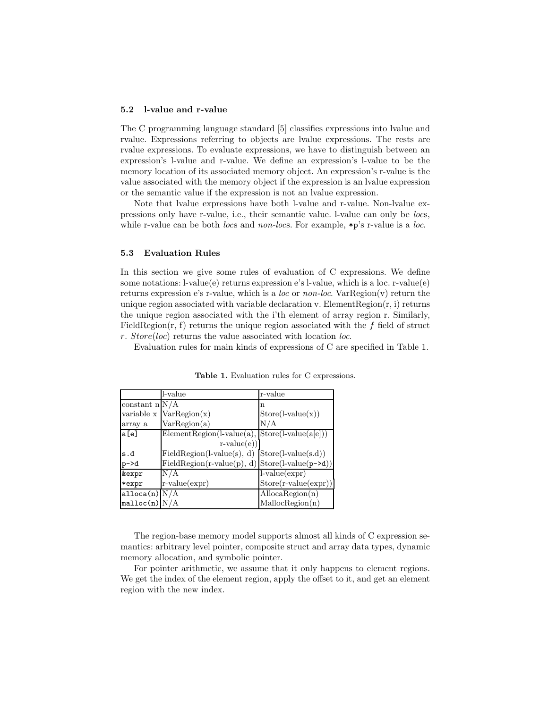#### 5.2 l-value and r-value

The C programming language standard [5] classifies expressions into lvalue and rvalue. Expressions referring to objects are lvalue expressions. The rests are rvalue expressions. To evaluate expressions, we have to distinguish between an expression's l-value and r-value. We define an expression's l-value to be the memory location of its associated memory object. An expression's r-value is the value associated with the memory object if the expression is an lvalue expression or the semantic value if the expression is not an lvalue expression.

Note that lvalue expressions have both l-value and r-value. Non-lvalue expressions only have r-value, i.e., their semantic value. l-value can only be locs, while r-value can be both *locs* and *non-locs*. For example, \*p's r-value is a *loc*.

#### 5.3 Evaluation Rules

In this section we give some rules of evaluation of C expressions. We define some notations:  $l$ -value $(e)$  returns expression e's l-value, which is a loc. r-value $(e)$ returns expression e's r-value, which is a *loc* or *non-loc*. VarRegion(v) return the unique region associated with variable declaration v. Element Region $(r, i)$  returns the unique region associated with the i'th element of array region r. Similarly, FieldRegion(r, f) returns the unique region associated with the f field of struct r.  $Store(loc)$  returns the value associated with location loc.

Evaluation rules for main kinds of expressions of C are specified in Table 1.

|                               | l-value                                             | r-value                    |
|-------------------------------|-----------------------------------------------------|----------------------------|
| constant $n N/A$              |                                                     | n                          |
| variable x                    | VarRegion(x)                                        | $Store(l-value(x))$        |
| array a                       | VarRegion(a)                                        | N/A                        |
| a[e]                          | $ElementRegion(l-value(a), [Store(l-value(a[e]))$   |                            |
|                               | $r-value(e)$                                        |                            |
| s.d                           | FieldRegion(l-value(s), d)                          | $Store(l-value(s.d))$      |
| $p - > d$                     | $FieldRegion(r-value(p), d)   Store(l-value(p->d))$ |                            |
| <i>&amp;expr</i>              | N/A                                                 | $l$ -value $(\text{expr})$ |
| *expr                         | $r-value(exp)$                                      | $Store(r-value(exp))$      |
| $\texttt{alloc}(n) \vert N/A$ |                                                     | $\text{AllocaRegion}(n)$   |
| $m$ alloc(n) $N/A$            |                                                     | MallocRegion(n)            |

Table 1. Evaluation rules for C expressions.

The region-base memory model supports almost all kinds of C expression semantics: arbitrary level pointer, composite struct and array data types, dynamic memory allocation, and symbolic pointer.

For pointer arithmetic, we assume that it only happens to element regions. We get the index of the element region, apply the offset to it, and get an element region with the new index.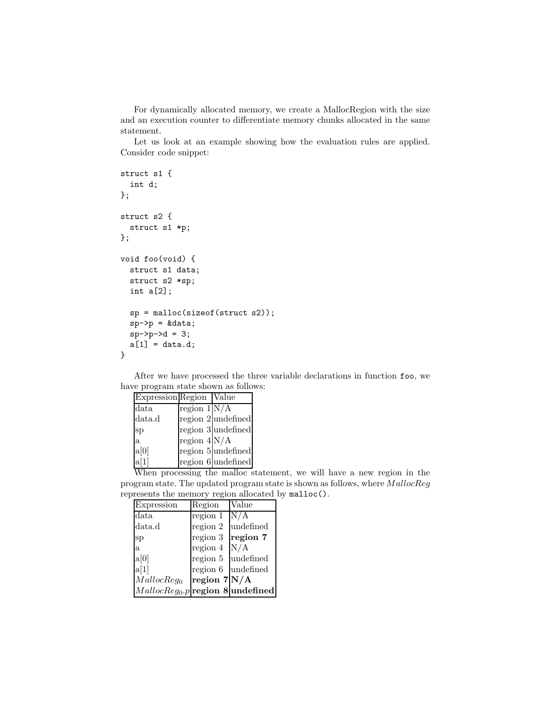For dynamically allocated memory, we create a MallocRegion with the size and an execution counter to differentiate memory chunks allocated in the same statement.

Let us look at an example showing how the evaluation rules are applied. Consider code snippet:

```
struct s1 {
  int d;
};
struct s2 {
  struct s1 *p;
};
void foo(void) {
  struct s1 data;
  struct s2 *sp;
  int a[2];
  sp = \text{malloc}(sizeof(struct s2));sp->p = kdata;sp->p->d = 3;a[1] = data.d;}
```
After we have processed the three variable declarations in function foo, we have program state shown as follows:

| Expression Region Value |                |                      |
|-------------------------|----------------|----------------------|
| data                    | region $1/N/A$ |                      |
| data.d                  |                | $region$ 2 undefined |
| sp                      |                | region 3 undefined   |
| a                       | region $4N/A$  |                      |
| a[0]                    |                | region 5 undefined   |
| a 1                     |                | region 6 undefined   |

When processing the malloc statement, we will have a new region in the program state. The updated program state is shown as follows, where  $MallocReg$ represents the memory region allocated by malloc().

| Expression                         | Region                    | Value                |
|------------------------------------|---------------------------|----------------------|
| data                               | region $1 \overline{N/A}$ |                      |
| data.d                             | region 2                  | undefined            |
| <sub>S</sub> p                     | region 3                  | region 7             |
| a.                                 | region 4                  | N/A                  |
| a[0]                               |                           | $region 5$ undefined |
| a[1]                               |                           | region 6 undefined   |
| MallocReg <sub>0</sub>             | region $7N/A$             |                      |
| $MallocReg_0.p$ region 8 undefined |                           |                      |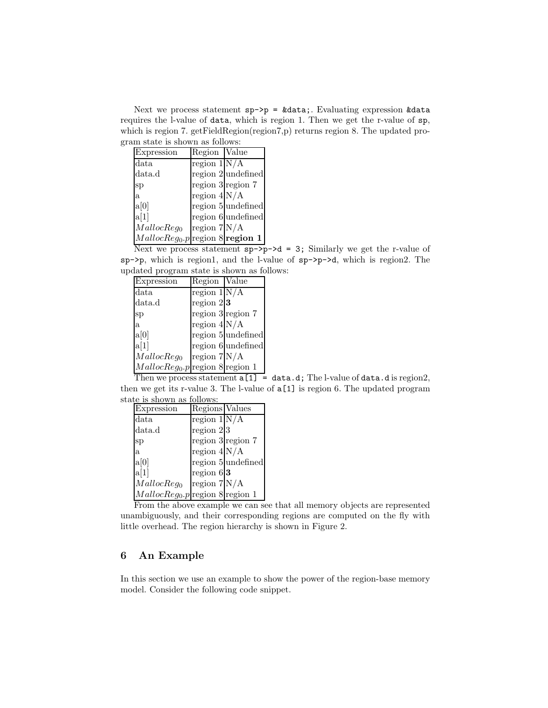Next we process statement  $sp->p = \&data$ . Evaluating expression  $&data$ requires the l-value of data, which is region 1. Then we get the r-value of sp, which is region 7. getFieldRegion(region7,p) returns region 8. The updated program state is shown as follows:

| Expression                        | Region Value             |                    |
|-----------------------------------|--------------------------|--------------------|
| data                              | region $1\overline{N/A}$ |                    |
| data.d                            |                          | region 2 undefined |
| sp                                | region $3$ region $7$    |                    |
| a                                 | region $4N/A$            |                    |
| a[0]                              |                          | region 5 undefined |
| a[1]                              |                          | region 6 undefined |
| MallocReg <sub>0</sub>            | region $7N/A$            |                    |
| $MallocReg_0.p$ region 8 region 1 |                          |                    |

Next we process statement  $sp->p>-d = 3$ ; Similarly we get the r-value of sp->p, which is region1, and the l-value of sp->p->d, which is region2. The updated program state is shown as follows:

| Expression                        | Region Value                    |                    |
|-----------------------------------|---------------------------------|--------------------|
| data                              | region $\overline{1\text{N/A}}$ |                    |
| data.d                            | region $2 3$                    |                    |
| sp                                | region $3$ region $7$           |                    |
| a.                                | region $4N/A$                   |                    |
| a[0]                              |                                 | region 5 undefined |
| a[1]                              |                                 | region 6 undefined |
| MallocReg <sub>0</sub>            | region $7N/A$                   |                    |
| $MallocReg_0.p$ region 8 region 1 |                                 |                    |

Then we process statement  $a[1] = data.d$ ; The l-value of data.d is region2, then we get its r-value 3. The l-value of a[1] is region 6. The updated program state is shown as follows:

| Expression                        | Regions Values                  |                    |
|-----------------------------------|---------------------------------|--------------------|
| data                              | region $\overline{1\text{N/A}}$ |                    |
| data.d                            | region 2 3                      |                    |
| sp                                | region 3 region 7               |                    |
| a                                 | region $4N/A$                   |                    |
| a[0]                              |                                 | region 5 undefined |
| a[1]                              | region 63                       |                    |
| MallocReg <sub>0</sub>            | region $7N/A$                   |                    |
| $MallocReg_0.p$ region 8 region 1 |                                 |                    |

From the above example we can see that all memory objects are represented unambiguously, and their corresponding regions are computed on the fly with little overhead. The region hierarchy is shown in Figure 2.

# 6 An Example

In this section we use an example to show the power of the region-base memory model. Consider the following code snippet.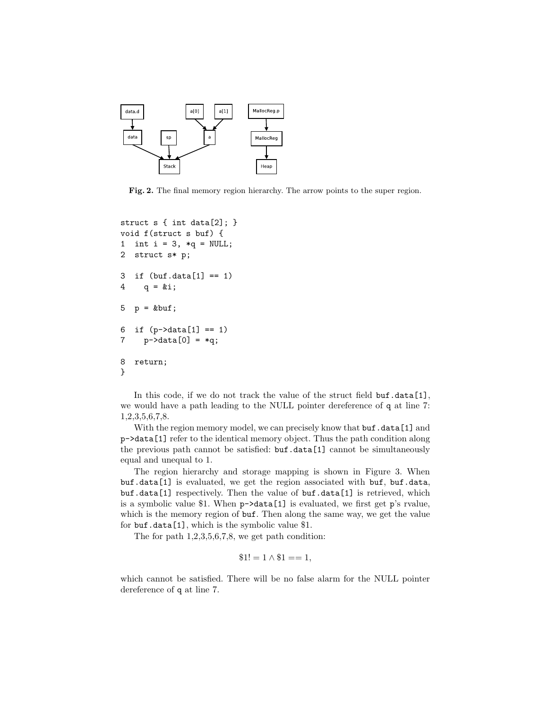

Fig. 2. The final memory region hierarchy. The arrow points to the super region.

```
struct s { int data[2]; }
void f(struct s buf) {
1 int i = 3, *q = NULL;2 struct s* p;
3 if (buf.data[1] == 1)
4 q = k i;5 p = kbuf;
6 if (p->data[1] == 1)
7   p   >- \lambda   [0]   = \astq;
8 return;
}
```
In this code, if we do not track the value of the struct field buf.data[1], we would have a path leading to the NULL pointer dereference of q at line 7: 1,2,3,5,6,7,8.

With the region memory model, we can precisely know that buf.data[1] and p->data[1] refer to the identical memory object. Thus the path condition along the previous path cannot be satisfied: buf.data[1] cannot be simultaneously equal and unequal to 1.

The region hierarchy and storage mapping is shown in Figure 3. When buf.data[1] is evaluated, we get the region associated with buf, buf.data, buf.data[1] respectively. Then the value of buf.data[1] is retrieved, which is a symbolic value \$1. When p->data[1] is evaluated, we first get p's rvalue, which is the memory region of buf. Then along the same way, we get the value for buf.data[1], which is the symbolic value \$1.

The for path  $1,2,3,5,6,7,8$ , we get path condition:

$$
\$1! = 1 \land \$1 == 1,
$$

which cannot be satisfied. There will be no false alarm for the NULL pointer dereference of q at line 7.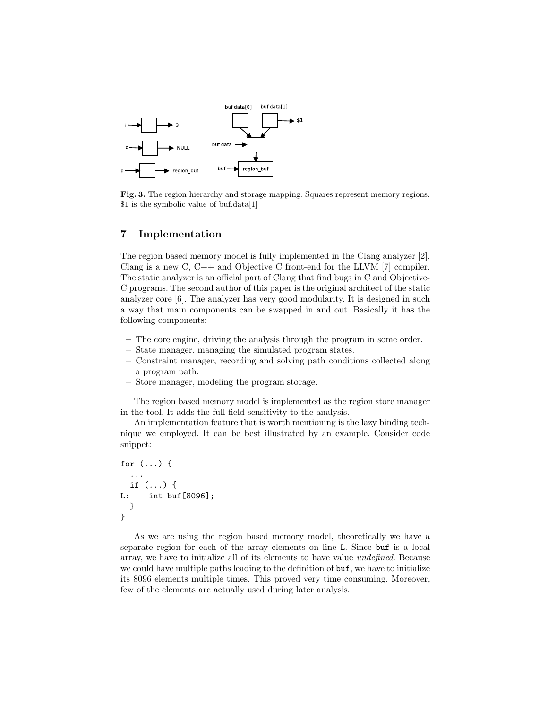

Fig. 3. The region hierarchy and storage mapping. Squares represent memory regions. \$1 is the symbolic value of buf.data[1]

## 7 Implementation

The region based memory model is fully implemented in the Clang analyzer [2]. Clang is a new C,  $C_{++}$  and Objective C front-end for the LLVM [7] compiler. The static analyzer is an official part of Clang that find bugs in C and Objective-C programs. The second author of this paper is the original architect of the static analyzer core [6]. The analyzer has very good modularity. It is designed in such a way that main components can be swapped in and out. Basically it has the following components:

- The core engine, driving the analysis through the program in some order.
- State manager, managing the simulated program states.
- Constraint manager, recording and solving path conditions collected along a program path.
- Store manager, modeling the program storage.

The region based memory model is implemented as the region store manager in the tool. It adds the full field sensitivity to the analysis.

An implementation feature that is worth mentioning is the lazy binding technique we employed. It can be best illustrated by an example. Consider code snippet:

```
for (...) {
  ...
  if (...) {
L: int buf[8096];
  }
}
```
As we are using the region based memory model, theoretically we have a separate region for each of the array elements on line L. Since buf is a local array, we have to initialize all of its elements to have value undefined. Because we could have multiple paths leading to the definition of buf, we have to initialize its 8096 elements multiple times. This proved very time consuming. Moreover, few of the elements are actually used during later analysis.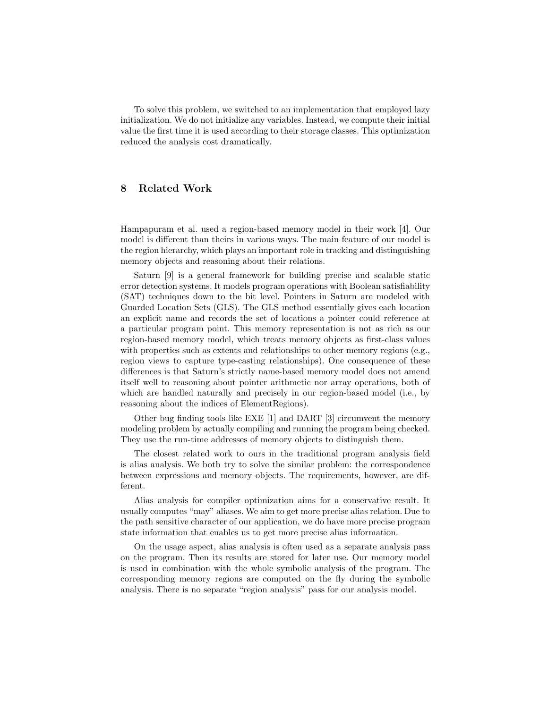To solve this problem, we switched to an implementation that employed lazy initialization. We do not initialize any variables. Instead, we compute their initial value the first time it is used according to their storage classes. This optimization reduced the analysis cost dramatically.

# 8 Related Work

Hampapuram et al. used a region-based memory model in their work [4]. Our model is different than theirs in various ways. The main feature of our model is the region hierarchy, which plays an important role in tracking and distinguishing memory objects and reasoning about their relations.

Saturn [9] is a general framework for building precise and scalable static error detection systems. It models program operations with Boolean satisfiability (SAT) techniques down to the bit level. Pointers in Saturn are modeled with Guarded Location Sets (GLS). The GLS method essentially gives each location an explicit name and records the set of locations a pointer could reference at a particular program point. This memory representation is not as rich as our region-based memory model, which treats memory objects as first-class values with properties such as extents and relationships to other memory regions (e.g., region views to capture type-casting relationships). One consequence of these differences is that Saturn's strictly name-based memory model does not amend itself well to reasoning about pointer arithmetic nor array operations, both of which are handled naturally and precisely in our region-based model (i.e., by reasoning about the indices of ElementRegions).

Other bug finding tools like EXE [1] and DART [3] circumvent the memory modeling problem by actually compiling and running the program being checked. They use the run-time addresses of memory objects to distinguish them.

The closest related work to ours in the traditional program analysis field is alias analysis. We both try to solve the similar problem: the correspondence between expressions and memory objects. The requirements, however, are different.

Alias analysis for compiler optimization aims for a conservative result. It usually computes "may" aliases. We aim to get more precise alias relation. Due to the path sensitive character of our application, we do have more precise program state information that enables us to get more precise alias information.

On the usage aspect, alias analysis is often used as a separate analysis pass on the program. Then its results are stored for later use. Our memory model is used in combination with the whole symbolic analysis of the program. The corresponding memory regions are computed on the fly during the symbolic analysis. There is no separate "region analysis" pass for our analysis model.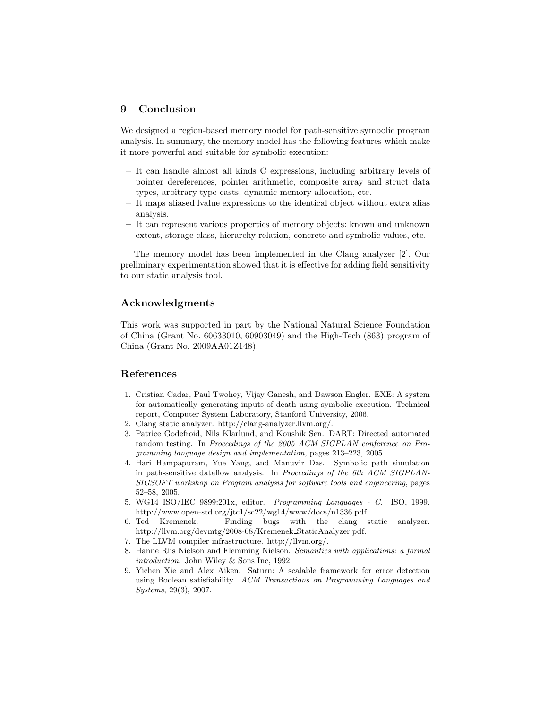# 9 Conclusion

We designed a region-based memory model for path-sensitive symbolic program analysis. In summary, the memory model has the following features which make it more powerful and suitable for symbolic execution:

- It can handle almost all kinds C expressions, including arbitrary levels of pointer dereferences, pointer arithmetic, composite array and struct data types, arbitrary type casts, dynamic memory allocation, etc.
- It maps aliased lvalue expressions to the identical object without extra alias analysis.
- It can represent various properties of memory objects: known and unknown extent, storage class, hierarchy relation, concrete and symbolic values, etc.

The memory model has been implemented in the Clang analyzer [2]. Our preliminary experimentation showed that it is effective for adding field sensitivity to our static analysis tool.

# Acknowledgments

This work was supported in part by the National Natural Science Foundation of China (Grant No. 60633010, 60903049) and the High-Tech (863) program of China (Grant No. 2009AA01Z148).

# References

- 1. Cristian Cadar, Paul Twohey, Vijay Ganesh, and Dawson Engler. EXE: A system for automatically generating inputs of death using symbolic execution. Technical report, Computer System Laboratory, Stanford University, 2006.
- 2. Clang static analyzer. http://clang-analyzer.llvm.org/.
- 3. Patrice Godefroid, Nils Klarlund, and Koushik Sen. DART: Directed automated random testing. In Proceedings of the 2005 ACM SIGPLAN conference on Programming language design and implementation, pages 213–223, 2005.
- 4. Hari Hampapuram, Yue Yang, and Manuvir Das. Symbolic path simulation in path-sensitive dataflow analysis. In Proceedings of the 6th ACM SIGPLAN-SIGSOFT workshop on Program analysis for software tools and engineering, pages 52–58, 2005.
- 5. WG14 ISO/IEC 9899:201x, editor. Programming Languages C. ISO, 1999. http://www.open-std.org/jtc1/sc22/wg14/www/docs/n1336.pdf.
- 6. Ted Kremenek. Finding bugs with the clang static analyzer. http://llvm.org/devmtg/2008-08/Kremenek StaticAnalyzer.pdf.
- 7. The LLVM compiler infrastructure. http://llvm.org/.
- 8. Hanne Riis Nielson and Flemming Nielson. Semantics with applications: a formal introduction. John Wiley & Sons Inc, 1992.
- 9. Yichen Xie and Alex Aiken. Saturn: A scalable framework for error detection using Boolean satisfiability. ACM Transactions on Programming Languages and Systems, 29(3), 2007.